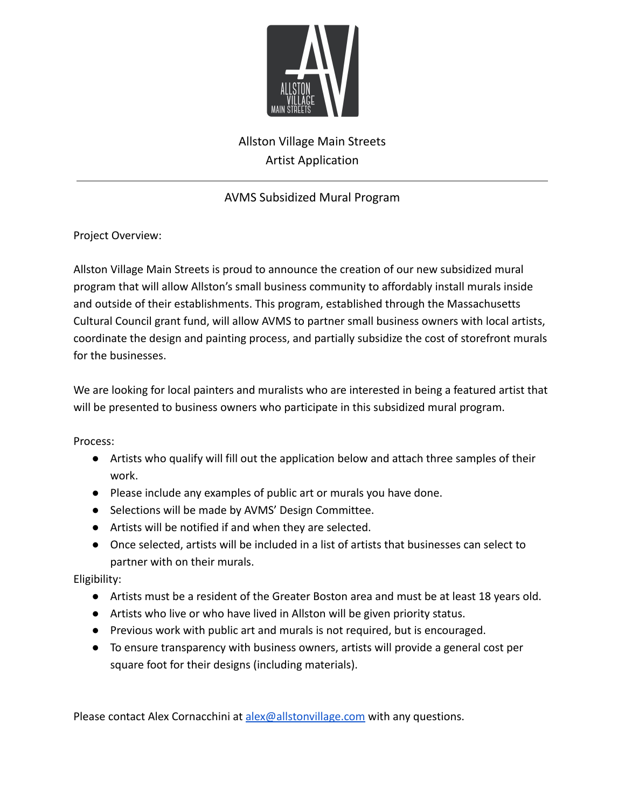

# Allston Village Main Streets Artist Application

### AVMS Subsidized Mural Program

Project Overview:

Allston Village Main Streets is proud to announce the creation of our new subsidized mural program that will allow Allston's small business community to affordably install murals inside and outside of their establishments. This program, established through the Massachusetts Cultural Council grant fund, will allow AVMS to partner small business owners with local artists, coordinate the design and painting process, and partially subsidize the cost of storefront murals for the businesses.

We are looking for local painters and muralists who are interested in being a featured artist that will be presented to business owners who participate in this subsidized mural program.

Process:

- Artists who qualify will fill out the application below and attach three samples of their work.
- Please include any examples of public art or murals you have done.
- Selections will be made by AVMS' Design Committee.
- Artists will be notified if and when they are selected.
- Once selected, artists will be included in a list of artists that businesses can select to partner with on their murals.

Eligibility:

- Artists must be a resident of the Greater Boston area and must be at least 18 years old.
- Artists who live or who have lived in Allston will be given priority status.
- Previous work with public art and murals is not required, but is encouraged.
- To ensure transparency with business owners, artists will provide a general cost per square foot for their designs (including materials).

Please contact Alex Cornacchini at [alex@allstonvillage.com](mailto:alex@allstonvillage.com) with any questions.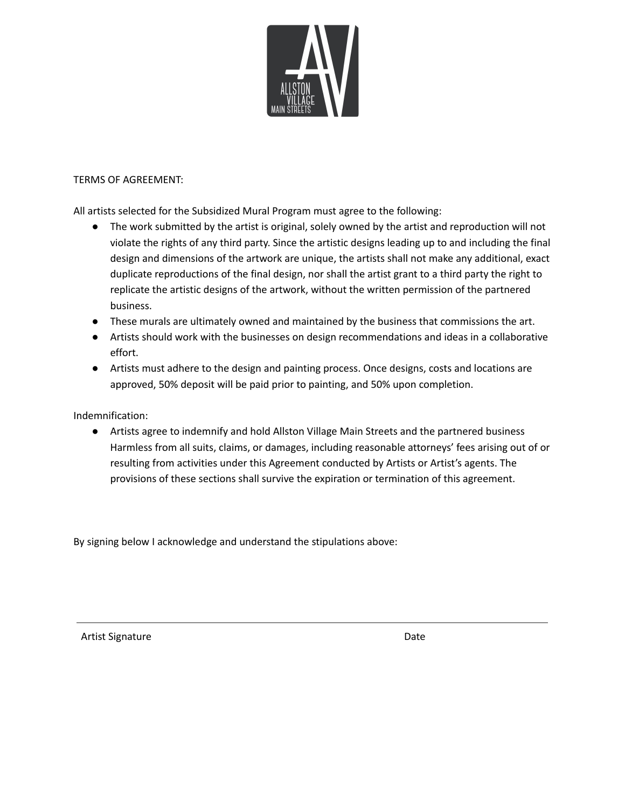

#### TERMS OF AGREEMENT:

All artists selected for the Subsidized Mural Program must agree to the following:

- The work submitted by the artist is original, solely owned by the artist and reproduction will not violate the rights of any third party. Since the artistic designs leading up to and including the final design and dimensions of the artwork are unique, the artists shall not make any additional, exact duplicate reproductions of the final design, nor shall the artist grant to a third party the right to replicate the artistic designs of the artwork, without the written permission of the partnered business.
- These murals are ultimately owned and maintained by the business that commissions the art.
- Artists should work with the businesses on design recommendations and ideas in a collaborative effort.
- Artists must adhere to the design and painting process. Once designs, costs and locations are approved, 50% deposit will be paid prior to painting, and 50% upon completion.

Indemnification:

● Artists agree to indemnify and hold Allston Village Main Streets and the partnered business Harmless from all suits, claims, or damages, including reasonable attorneys' fees arising out of or resulting from activities under this Agreement conducted by Artists or Artist's agents. The provisions of these sections shall survive the expiration or termination of this agreement.

By signing below I acknowledge and understand the stipulations above:

Artist Signature Date